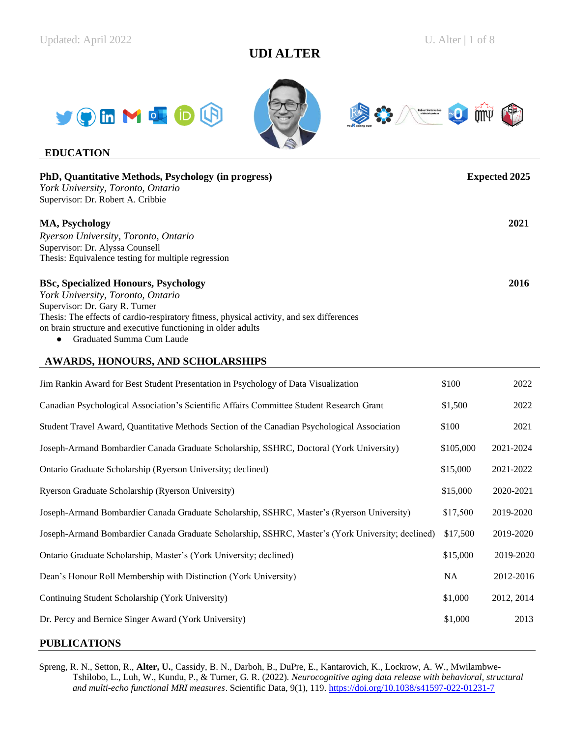# **UDI ALTER**







## **EDUCATION**

| PhD, Quantitative Methods, Psychology (in progress)                                       | <b>Expected 2025</b> |
|-------------------------------------------------------------------------------------------|----------------------|
| York University, Toronto, Ontario                                                         |                      |
| Supervisor: Dr. Robert A. Cribbie                                                         |                      |
| <b>MA, Psychology</b>                                                                     | 2021                 |
| Ryerson University, Toronto, Ontario                                                      |                      |
| Supervisor: Dr. Alyssa Counsell                                                           |                      |
| Thesis: Equivalence testing for multiple regression                                       |                      |
| <b>BSc, Specialized Honours, Psychology</b>                                               | 2016                 |
| York University, Toronto, Ontario                                                         |                      |
| Supervisor: Dr. Gary R. Turner                                                            |                      |
| Thesis: The effects of cardio-respiratory fitness, physical activity, and sex differences |                      |
| on brain structure and executive functioning in older adults                              |                      |
| Craduated Summa Cum Laude                                                                 |                      |

Graduated Summa Cum Laude

## **AWARDS, HONOURS, AND SCHOLARSHIPS**

| Jim Rankin Award for Best Student Presentation in Psychology of Data Visualization                | \$100     | 2022       |
|---------------------------------------------------------------------------------------------------|-----------|------------|
| Canadian Psychological Association's Scientific Affairs Committee Student Research Grant          | \$1,500   | 2022       |
| Student Travel Award, Quantitative Methods Section of the Canadian Psychological Association      | \$100     | 2021       |
| Joseph-Armand Bombardier Canada Graduate Scholarship, SSHRC, Doctoral (York University)           | \$105,000 | 2021-2024  |
| Ontario Graduate Scholarship (Ryerson University; declined)                                       | \$15,000  | 2021-2022  |
| Ryerson Graduate Scholarship (Ryerson University)                                                 | \$15,000  | 2020-2021  |
| Joseph-Armand Bombardier Canada Graduate Scholarship, SSHRC, Master's (Ryerson University)        | \$17,500  | 2019-2020  |
| Joseph-Armand Bombardier Canada Graduate Scholarship, SSHRC, Master's (York University; declined) | \$17,500  | 2019-2020  |
| Ontario Graduate Scholarship, Master's (York University; declined)                                | \$15,000  | 2019-2020  |
| Dean's Honour Roll Membership with Distinction (York University)                                  | <b>NA</b> | 2012-2016  |
| Continuing Student Scholarship (York University)                                                  | \$1,000   | 2012, 2014 |
| Dr. Percy and Bernice Singer Award (York University)                                              | \$1,000   | 2013       |
|                                                                                                   |           |            |

## **PUBLICATIONS**

Spreng, R. N., Setton, R., **Alter, U.**, Cassidy, B. N., Darboh, B., DuPre, E., Kantarovich, K., Lockrow, A. W., Mwilambwe-Tshilobo, L., Luh, W., Kundu, P., & Turner, G. R. (2022). *Neurocognitive aging data release with behavioral, structural and multi-echo functional MRI measures*. Scientific Data, 9(1), 119.<https://doi.org/10.1038/s41597-022-01231-7>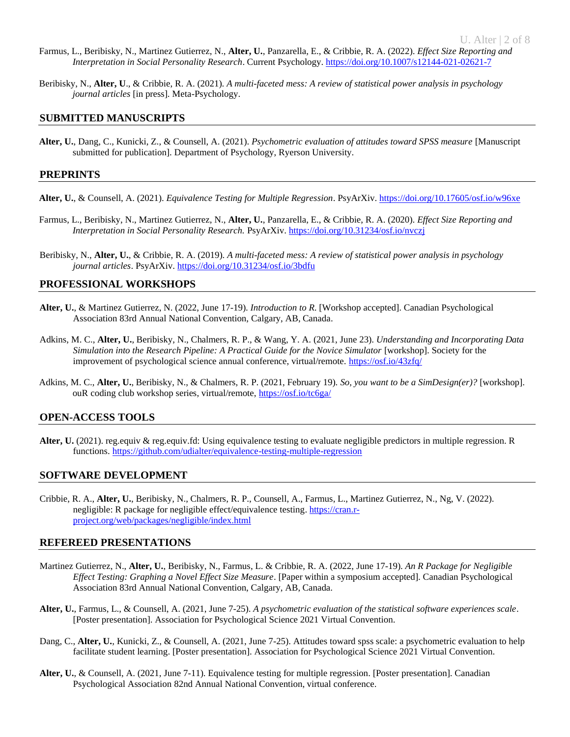- Farmus, L., Beribisky, N., Martinez Gutierrez, N., **Alter, U.**, Panzarella, E., & Cribbie, R. A. (2022). *Effect Size Reporting and Interpretation in Social Personality Research*. Current Psychology. <https://doi.org/10.1007/s12144-021-02621-7>
- Beribisky, N., **Alter, U**., & Cribbie, R. A. (2021). *A multi-faceted mess: A review of statistical power analysis in psychology journal articles* [in press]. Meta-Psychology.

### **SUBMITTED MANUSCRIPTS**

**Alter, U.**, Dang, C., Kunicki, Z., & Counsell, A. (2021). *Psychometric evaluation of attitudes toward SPSS measure* [Manuscript submitted for publication]. Department of Psychology, Ryerson University.

#### **PREPRINTS**

- **Alter, U.**, & Counsell, A. (2021). *Equivalence Testing for Multiple Regression*. PsyArXiv. https://doi.org/10.17605/osf.io/w96xe
- Farmus, L., Beribisky, N., Martinez Gutierrez, N., **Alter, U.**, Panzarella, E., & Cribbie, R. A. (2020). *Effect Size Reporting and Interpretation in Social Personality Research.* PsyArXiv.<https://doi.org/10.31234/osf.io/nvczj>
- Beribisky, N., **Alter, U.**, & Cribbie, R. A. (2019). *A multi-faceted mess: A review of statistical power analysis in psychology journal articles*. PsyArXiv[. https://doi.org/10.31234/osf.io/3bdfu](https://doi.org/10.31234/osf.io/3bdfu)

### **PROFESSIONAL WORKSHOPS**

- **Alter, U.**, & Martinez Gutierrez, N. (2022, June 17-19). *Introduction to R*. [Workshop accepted]. Canadian Psychological Association 83rd Annual National Convention, Calgary, AB, Canada.
- Adkins, M. C., **Alter, U.**, Beribisky, N., Chalmers, R. P., & Wang, Y. A. (2021, June 23). *Understanding and Incorporating Data Simulation into the Research Pipeline: A Practical Guide for the Novice Simulator* [workshop]. Society for the improvement of psychological science annual conference, virtual/remote.<https://osf.io/43zfq/>
- Adkins, M. C., **Alter, U.**, Beribisky, N., & Chalmers, R. P. (2021, February 19). *So, you want to be a SimDesign(er)?* [workshop]. ouR coding club workshop series, virtual/remote,<https://osf.io/tc6ga/>

#### **OPEN-ACCESS TOOLS**

Alter, U. (2021). reg.equiv & reg.equiv.fd: Using equivalence testing to evaluate negligible predictors in multiple regression. R functions.<https://github.com/udialter/equivalence-testing-multiple-regression>

#### **SOFTWARE DEVELOPMENT**

Cribbie, R. A., **Alter, U.**, Beribisky, N., Chalmers, R. P., Counsell, A., Farmus, L., Martinez Gutierrez, N., Ng, V. (2022). negligible: R package for negligible effect/equivalence testing[. https://cran.r](https://cran.r-project.org/web/packages/negligible/index.html)[project.org/web/packages/negligible/index.html](https://cran.r-project.org/web/packages/negligible/index.html)

#### **REFEREED PRESENTATIONS**

- Martinez Gutierrez, N., **Alter, U.**, Beribisky, N., Farmus, L. & Cribbie, R. A. (2022, June 17-19). *An R Package for Negligible Effect Testing: Graphing a Novel Effect Size Measure*. [Paper within a symposium accepted]. Canadian Psychological Association 83rd Annual National Convention, Calgary, AB, Canada.
- **Alter, U.**, Farmus, L., & Counsell, A. (2021, June 7-25). *A psychometric evaluation of the statistical software experiences scale*. [Poster presentation]. Association for Psychological Science 2021 Virtual Convention.
- Dang, C., **Alter, U.**, Kunicki, Z., & Counsell, A. (2021, June 7-25). Attitudes toward spss scale: a psychometric evaluation to help facilitate student learning. [Poster presentation]. Association for Psychological Science 2021 Virtual Convention.
- **Alter, U.**, & Counsell, A. (2021, June 7-11). Equivalence testing for multiple regression. [Poster presentation]. Canadian Psychological Association 82nd Annual National Convention, virtual conference.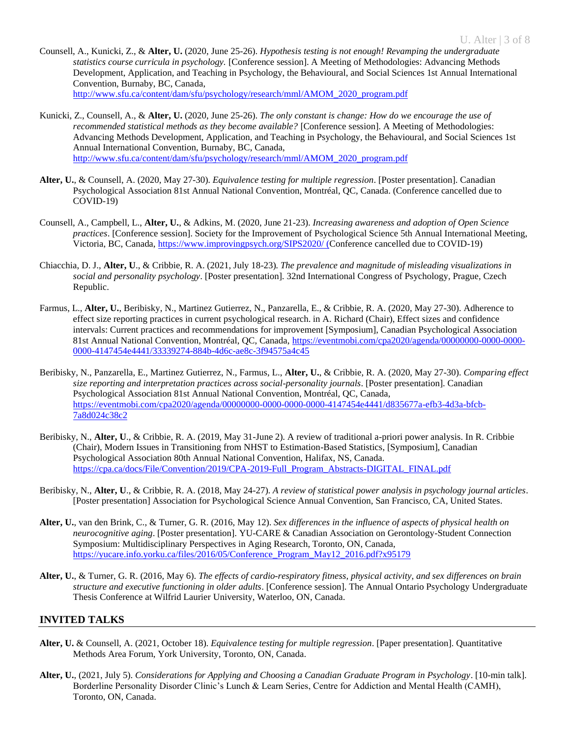- Counsell, A., Kunicki, Z., & **Alter, U.** (2020, June 25-26). *Hypothesis testing is not enough! Revamping the undergraduate statistics course curricula in psychology.* [Conference session]. A Meeting of Methodologies: Advancing Methods Development, Application, and Teaching in Psychology, the Behavioural, and Social Sciences 1st Annual International Convention, Burnaby, BC, Canada, [http://www.sfu.ca/content/dam/sfu/psychology/research/mml/AMOM\\_2020\\_program.pdf](http://www.sfu.ca/content/dam/sfu/psychology/research/mml/AMOM_2020_program.pdf)
- Kunicki, Z., Counsell, A., & **Alter, U.** (2020, June 25-26). *The only constant is change: How do we encourage the use of recommended statistical methods as they become available?* [Conference session]. A Meeting of Methodologies: Advancing Methods Development, Application, and Teaching in Psychology, the Behavioural, and Social Sciences 1st Annual International Convention, Burnaby, BC, Canada, [http://www.sfu.ca/content/dam/sfu/psychology/research/mml/AMOM\\_2020\\_program.pdf](http://www.sfu.ca/content/dam/sfu/psychology/research/mml/AMOM_2020_program.pdf)
- **Alter, U.**, & Counsell, A. (2020, May 27-30). *Equivalence testing for multiple regression*. [Poster presentation]. Canadian Psychological Association 81st Annual National Convention, Montréal, QC, Canada. (Conference cancelled due to COVID-19)
- Counsell, A., Campbell, L., **Alter, U.**, & Adkins, M. (2020, June 21-23). *Increasing awareness and adoption of Open Science practices*. [Conference session]. Society for the Improvement of Psychological Science 5th Annual International Meeting, Victoria, BC, Canada[, https://www.improvingpsych.org/SIPS2020/](https://www.improvingpsych.org/SIPS2020/) (Conference cancelled due to COVID-19)
- Chiacchia, D. J., **Alter, U**., & Cribbie, R. A. (2021, July 18-23). *The prevalence and magnitude of misleading visualizations in social and personality psychology*. [Poster presentation]. 32nd International Congress of Psychology, Prague, Czech Republic.
- Farmus, L., **Alter, U.**, Beribisky, N., Martinez Gutierrez, N., Panzarella, E., & Cribbie, R. A. (2020, May 27-30). Adherence to effect size reporting practices in current psychological research. in A. Richard (Chair), Effect sizes and confidence intervals: Current practices and recommendations for improvement [Symposium], Canadian Psychological Association 81st Annual National Convention, Montréal, QC, Canada, [https://eventmobi.com/cpa2020/agenda/00000000-0000-0000-](https://eventmobi.com/cpa2020/agenda/00000000-0000-0000-0000-4147454e4441/33339274-884b-4d6c-ae8c-3f94575a4c45) [0000-4147454e4441/33339274-884b-4d6c-ae8c-3f94575a4c45](https://eventmobi.com/cpa2020/agenda/00000000-0000-0000-0000-4147454e4441/33339274-884b-4d6c-ae8c-3f94575a4c45)
- Beribisky, N., Panzarella, E., Martinez Gutierrez, N., Farmus, L., **Alter, U.**, & Cribbie, R. A. (2020, May 27-30). *Comparing effect size reporting and interpretation practices across social-personality journals*. [Poster presentation]. Canadian Psychological Association 81st Annual National Convention, Montréal, QC, Canada, [https://eventmobi.com/cpa2020/agenda/00000000-0000-0000-0000-4147454e4441/d835677a-efb3-4d3a-bfcb-](https://eventmobi.com/cpa2020/agenda/00000000-0000-0000-0000-4147454e4441/d835677a-efb3-4d3a-bfcb-7a8d024c38c2)[7a8d024c38c2](https://eventmobi.com/cpa2020/agenda/00000000-0000-0000-0000-4147454e4441/d835677a-efb3-4d3a-bfcb-7a8d024c38c2)
- Beribisky, N., **Alter, U**., & Cribbie, R. A. (2019, May 31-June 2). A review of traditional a-priori power analysis. In R. Cribbie (Chair), Modern Issues in Transitioning from NHST to Estimation-Based Statistics, [Symposium], Canadian Psychological Association 80th Annual National Convention, Halifax, NS, Canada. [https://cpa.ca/docs/File/Convention/2019/CPA-2019-Full\\_Program\\_Abstracts-DIGITAL\\_FINAL.pdf](https://cpa.ca/docs/File/Convention/2019/CPA-2019-Full_Program_Abstracts-DIGITAL_FINAL.pdf)
- Beribisky, N., **Alter, U**., & Cribbie, R. A. (2018, May 24-27). *A review of statistical power analysis in psychology journal articles*. [Poster presentation] Association for Psychological Science Annual Convention, San Francisco, CA, United States.
- **Alter, U.**, van den Brink, C., & Turner, G. R. (2016, May 12). *Sex differences in the influence of aspects of physical health on neurocognitive aging*. [Poster presentation]. YU-CARE & Canadian Association on Gerontology-Student Connection Symposium: Multidisciplinary Perspectives in Aging Research, Toronto, ON, Canada, [https://yucare.info.yorku.ca/files/2016/05/Conference\\_Program\\_May12\\_2016.pdf?x95179](https://yucare.info.yorku.ca/files/2016/05/Conference_Program_May12_2016.pdf?x95179)
- **Alter, U.**, & Turner, G. R. (2016, May 6). *The effects of cardio-respiratory fitness, physical activity, and sex differences on brain structure and executive functioning in older adults*. [Conference session]. The Annual Ontario Psychology Undergraduate Thesis Conference at Wilfrid Laurier University, Waterloo, ON, Canada.

## **INVITED TALKS**

- **Alter, U.** & Counsell, A. (2021, October 18). *Equivalence testing for multiple regression*. [Paper presentation]. Quantitative Methods Area Forum, York University, Toronto, ON, Canada.
- **Alter, U.**, (2021, July 5). *Considerations for Applying and Choosing a Canadian Graduate Program in Psychology*. [10-min talk]. Borderline Personality Disorder Clinic's Lunch & Learn Series, Centre for Addiction and Mental Health (CAMH), Toronto, ON, Canada.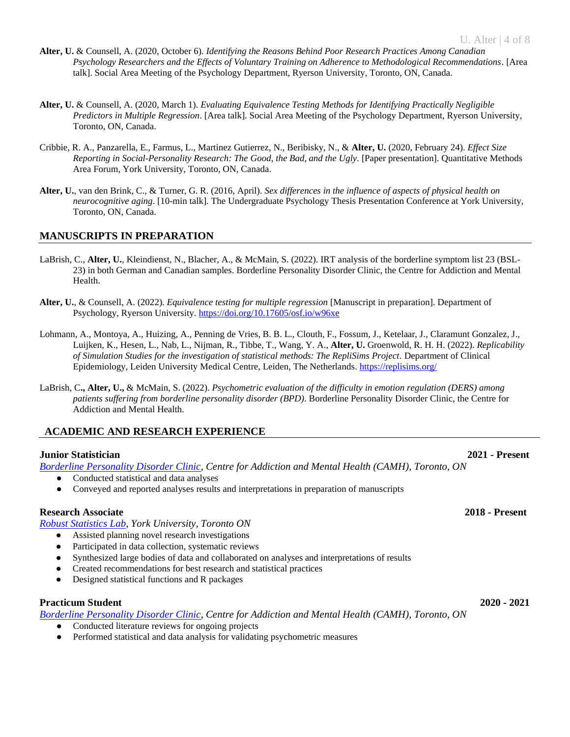- **Alter, U.** & Counsell, A. (2020, October 6). *Identifying the Reasons Behind Poor Research Practices Among Canadian Psychology Researchers and the Effects of Voluntary Training on Adherence to Methodological Recommendations*. [Area talk]. Social Area Meeting of the Psychology Department, Ryerson University, Toronto, ON, Canada.
- **Alter, U.** & Counsell, A. (2020, March 1). *Evaluating Equivalence Testing Methods for Identifying Practically Negligible Predictors in Multiple Regression*. [Area talk]. Social Area Meeting of the Psychology Department, Ryerson University, Toronto, ON, Canada.
- Cribbie, R. A., Panzarella, E., Farmus, L., Martinez Gutierrez, N., Beribisky, N., & **Alter, U.** (2020, February 24). *Effect Size Reporting in Social-Personality Research: The Good, the Bad, and the Ugly.* [Paper presentation]. Quantitative Methods Area Forum, York University, Toronto, ON, Canada.
- **Alter, U.**, van den Brink, C., & Turner, G. R. (2016, April). *Sex differences in the influence of aspects of physical health on neurocognitive aging*. [10-min talk]. The Undergraduate Psychology Thesis Presentation Conference at York University, Toronto, ON, Canada.

## **MANUSCRIPTS IN PREPARATION**

- LaBrish, C., **Alter, U.**, Kleindienst, N., Blacher, A., & McMain, S. (2022). IRT analysis of the borderline symptom list 23 (BSL-23) in both German and Canadian samples. Borderline Personality Disorder Clinic, the Centre for Addiction and Mental Health.
- **Alter, U.**, & Counsell, A. (2022). *Equivalence testing for multiple regression* [Manuscript in preparation]. Department of Psychology, Ryerson University. https://doi.org/10.17605/osf.io/w96xe
- Lohmann, A., Montoya, A., Huizing, A., Penning de Vries, B. B. L., Clouth, F., Fossum, J., Ketelaar, J., Claramunt Gonzalez, J., Luijken, K., Hesen, L., Nab, L., Nijman, R., Tibbe, T., Wang, Y. A., **Alter, U.** Groenwold, R. H. H. (2022). *Replicability of Simulation Studies for the investigation of statistical methods: The RepliSims Project.* Department of Clinical Epidemiology, Leiden University Medical Centre, Leiden, The Netherlands. <https://replisims.org/>
- LaBrish, C**., Alter, U.,** & McMain, S. (2022). *Psychometric evaluation of the difficulty in emotion regulation (DERS) among patients suffering from borderline personality disorder (BPD)*. Borderline Personality Disorder Clinic, the Centre for Addiction and Mental Health.

## **ACADEMIC AND RESEARCH EXPERIENCE**

## **Junior Statistician 2021 - Present**

*[Borderline Personality Disorder Clinic,](https://www.camh.ca/en/your-care/programs-and-services/borderline-personality-disorder-clinic) Centre for Addiction and Mental Health (CAMH), Toronto, ON*

- Conducted statistical and data analyses
- Conveyed and reported analyses results and interpretations in preparation of manuscripts

## **Research Associate 2018 - Present**

*[Robust Statistics Lab,](https://cribbie.info.yorku.ca/) York University, Toronto ON*

- Assisted planning novel research investigations
- Participated in data collection, systematic reviews
- Synthesized large bodies of data and collaborated on analyses and interpretations of results
- Created recommendations for best research and statistical practices
- Designed statistical functions and R packages

#### **Practicum Student 2020 - 2021**

*[Borderline Personality Disorder Clinic,](https://www.camh.ca/en/your-care/programs-and-services/borderline-personality-disorder-clinic) Centre for Addiction and Mental Health (CAMH), Toronto, ON*

- Conducted literature reviews for ongoing projects
- Performed statistical and data analysis for validating psychometric measures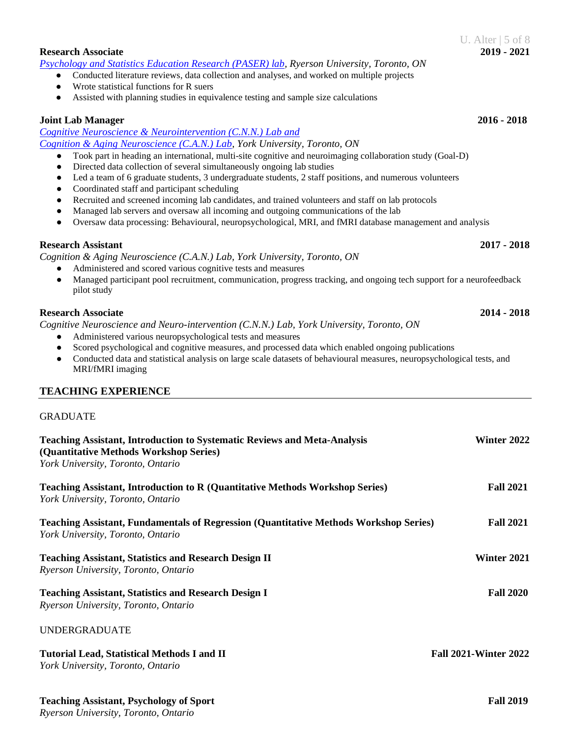*Ryerson University, Toronto, Ontario*

## **Research Associate 2019 - 2021**

*[Psychology and Statistics Education Research \(PASER\) lab,](https://www.psystat.org/) Ryerson University, Toronto, ON*

- Conducted literature reviews, data collection and analyses, and worked on multiple projects
- Wrote statistical functions for R suers
- Assisted with planning studies in equivalence testing and sample size calculations

## **Joint Lab Manager 2016 - 2018**

#### *[Cognitive Neuroscience & Neurointervention \(C.N.N.\) Lab and](http://www.yorku.ca/grturner/cann-home.html)  [Cognition & Aging Neuroscience \(C.A.N.\) Lab,](http://www.yorku.ca/grturner/cann-home.html) York University, Toronto, ON*

- Took part in heading an international, multi-site cognitive and neuroimaging collaboration study (Goal-D)
- Directed data collection of several simultaneously ongoing lab studies
- Led a team of 6 graduate students, 3 undergraduate students, 2 staff positions, and numerous volunteers
- Coordinated staff and participant scheduling
- Recruited and screened incoming lab candidates, and trained volunteers and staff on lab protocols
- Managed lab servers and oversaw all incoming and outgoing communications of the lab
- Oversaw data processing: Behavioural, neuropsychological, MRI, and fMRI database management and analysis

## **Research Assistant 2017 - 2018**

*Cognition & Aging Neuroscience (C.A.N.) Lab, York University, Toronto, ON*

- Administered and scored various cognitive tests and measures
- Managed participant pool recruitment, communication, progress tracking, and ongoing tech support for a neurofeedback pilot study

## **Research Associate 2014 - 2018**

*Cognitive Neuroscience and Neuro-intervention (C.N.N.) Lab, York University, Toronto, ON*

- Administered various neuropsychological tests and measures
- Scored psychological and cognitive measures, and processed data which enabled ongoing publications
- Conducted data and statistical analysis on large scale datasets of behavioural measures, neuropsychological tests, and MRI/fMRI imaging

## **TEACHING EXPERIENCE**

| <b>Teaching Assistant, Introduction to Systematic Reviews and Meta-Analysis</b><br>(Quantitative Methods Workshop Series)<br>York University, Toronto, Ontario | Winter 2022                  |
|----------------------------------------------------------------------------------------------------------------------------------------------------------------|------------------------------|
| <b>Teaching Assistant, Introduction to R (Quantitative Methods Workshop Series)</b><br>York University, Toronto, Ontario                                       | <b>Fall 2021</b>             |
| <b>Teaching Assistant, Fundamentals of Regression (Quantitative Methods Workshop Series)</b><br>York University, Toronto, Ontario                              | <b>Fall 2021</b>             |
| <b>Teaching Assistant, Statistics and Research Design II</b><br>Ryerson University, Toronto, Ontario                                                           | Winter 2021                  |
| <b>Teaching Assistant, Statistics and Research Design I</b><br>Ryerson University, Toronto, Ontario                                                            | <b>Fall 2020</b>             |
| <b>UNDERGRADUATE</b>                                                                                                                                           |                              |
| <b>Tutorial Lead, Statistical Methods I and II</b><br>York University, Toronto, Ontario                                                                        | <b>Fall 2021-Winter 2022</b> |
| <b>Teaching Assistant, Psychology of Sport</b>                                                                                                                 | <b>Fall 2019</b>             |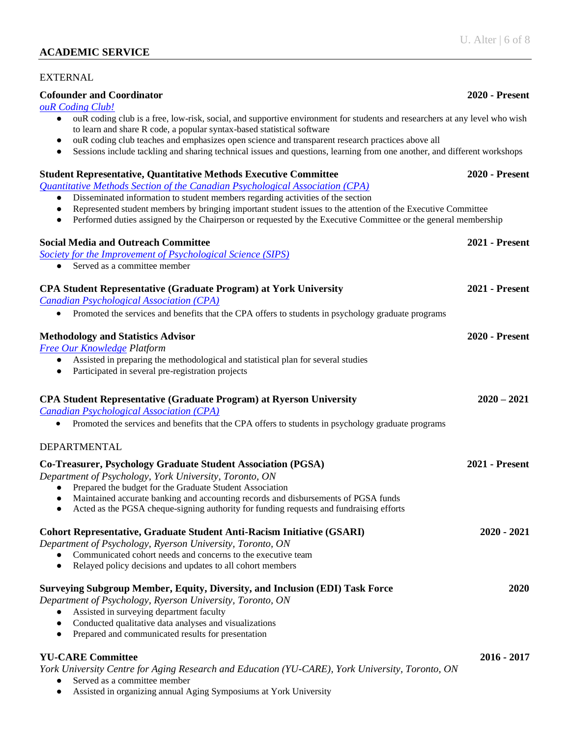## **ACADEMIC SERVICE**

## EXTERNAL

### **Cofounder and Coordinator 2020 - Present**

*[ouR Coding Club!](https://rcodingclub.wixsite.com/home)*

- ouR coding club is a free, low-risk, social, and supportive environment for students and researchers at any level who wish to learn and share R code, a popular syntax-based statistical software
- ouR coding club teaches and emphasizes open science and transparent research practices above all
- Sessions include tackling and sharing technical issues and questions, learning from one another, and different workshops

# **Student Representative, Quantitative Methods Executive Committee 2020 - Present** *[Quantitative Methods Section of the Canadian Psychological Association \(CPA\)](https://canadianquantpsych.wordpress.com/)* ● Disseminated information to student members regarding activities of the section ● Represented student members by bringing important student issues to the attention of the Executive Committee • Performed duties assigned by the Chairperson or requested by the Executive Committee or the general membership **Social Media and Outreach Committee 2021 - Present** *[Society for the Improvement of Psychological Science \(SIPS\)](https://improvingpsych.org/)* • Served as a committee member **CPA Student Representative (Graduate Program) at York University 2021 - Present** *[Canadian Psychological Association \(CPA\)](https://cpa.ca/)* • Promoted the services and benefits that the CPA offers to students in psychology graduate programs **Methodology and Statistics Advisor 2020 - Present** *[Free Our Knowledge](https://freeourknowledge.org/) Platform* ● Assisted in preparing the methodological and statistical plan for several studies • Participated in several pre-registration projects **CPA Student Representative (Graduate Program) at Ryerson University 2020 – 2021** *[Canadian Psychological Association \(CPA\)](https://cpa.ca/)* • Promoted the services and benefits that the CPA offers to students in psychology graduate programs DEPARTMENTAL **Co-Treasurer, Psychology Graduate Student Association (PGSA) 2021 - Present** *Department of Psychology, York University, Toronto, ON* ● Prepared the budget for the Graduate Student Association ● Maintained accurate banking and accounting records and disbursements of PGSA funds ● Acted as the PGSA cheque-signing authority for funding requests and fundraising efforts **Cohort Representative, Graduate Student Anti-Racism Initiative (GSARI) 2020 - 2021** *Department of Psychology, Ryerson University, Toronto, ON* Communicated cohort needs and concerns to the executive team ● Relayed policy decisions and updates to all cohort members **Surveying Subgroup Member, Equity, Diversity, and Inclusion (EDI) Task Force 2020** *Department of Psychology, Ryerson University, Toronto, ON* • Assisted in surveying department faculty ● Conducted qualitative data analyses and visualizations • Prepared and communicated results for presentation **YU-CARE Committee 2016 - 2017**

*York University Centre for Aging Research and Education (YU-CARE), York University, Toronto, ON*

- Served as a committee member
- Assisted in organizing annual Aging Symposiums at York University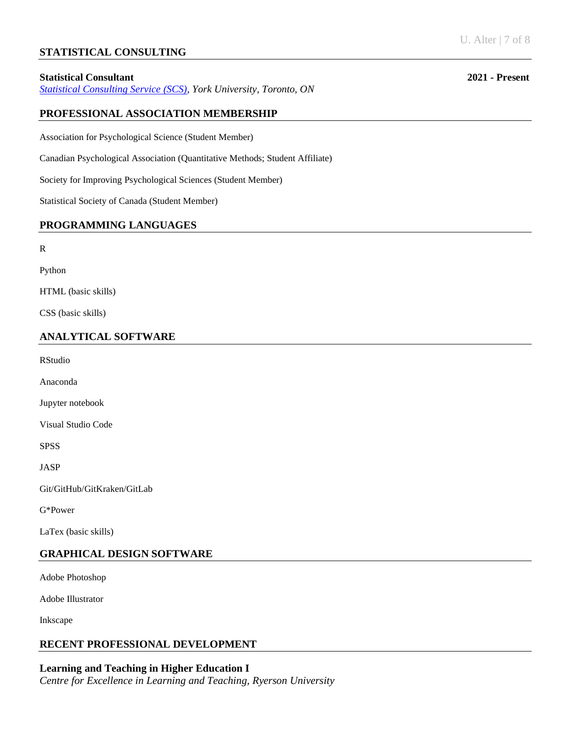## **STATISTICAL CONSULTING**

### **Statistical Consultant 2021 - Present**

*[Statistical Consulting Service](https://www.yorku.ca/research/scs/) (SCS), York University, Toronto, ON*

## **PROFESSIONAL ASSOCIATION MEMBERSHIP**

Association for Psychological Science (Student Member)

Canadian Psychological Association (Quantitative Methods; Student Affiliate)

Society for Improving Psychological Sciences (Student Member)

Statistical Society of Canada (Student Member)

## **PROGRAMMING LANGUAGES**

R

Python

HTML (basic skills)

CSS (basic skills)

## **ANALYTICAL SOFTWARE**

RStudio

Anaconda

Jupyter notebook

Visual Studio Code

SPSS

JASP

Git/GitHub/GitKraken/GitLab

G\*Power

LaTex (basic skills)

## **GRAPHICAL DESIGN SOFTWARE**

Adobe Photoshop

Adobe Illustrator

Inkscape

## **RECENT PROFESSIONAL DEVELOPMENT**

**Learning and Teaching in Higher Education I**  *Centre for Excellence in Learning and Teaching, Ryerson University*